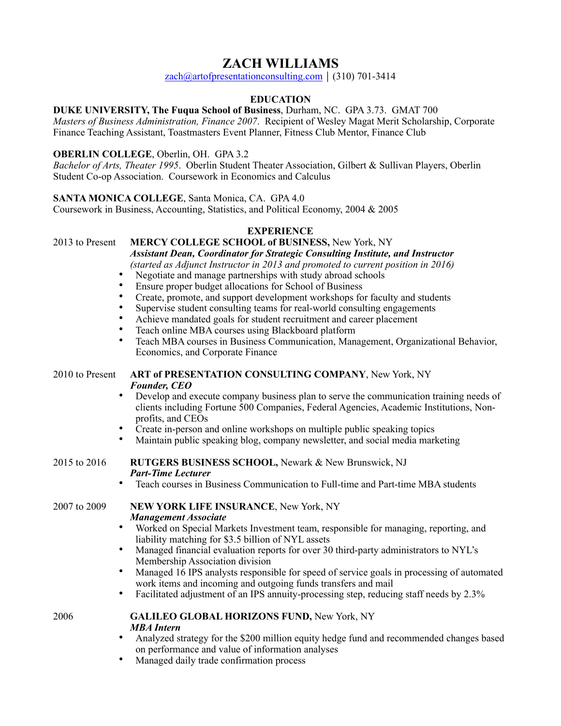# **ZACH WILLIAMS**

[zach@artofpresentationconsulting.com](mailto:zach.williams@fuqua.duke.edu) |  $(310)$  701-3414

# **EDUCATION**

**DUKE UNIVERSITY, The Fuqua School of Business**, Durham, NC. GPA 3.73. GMAT 700

*Masters of Business Administration, Finance 2007*. Recipient of Wesley Magat Merit Scholarship, Corporate Finance Teaching Assistant, Toastmasters Event Planner, Fitness Club Mentor, Finance Club

# **OBERLIN COLLEGE**, Oberlin, OH. GPA 3.2

*Bachelor of Arts, Theater 1995*. Oberlin Student Theater Association, Gilbert & Sullivan Players, Oberlin Student Co-op Association. Coursework in Economics and Calculus

## **SANTA MONICA COLLEGE**, Santa Monica, CA. GPA 4.0

Coursework in Business, Accounting, Statistics, and Political Economy, 2004 & 2005

## **EXPERIENCE**

2013 to Present **MERCY COLLEGE SCHOOL of BUSINESS,** New York, NY

 *Assistant Dean, Coordinator for Strategic Consulting Institute, and Instructor (started as Adjunct Instructor in 2013 and promoted to current position in 2016)* 

- Negotiate and manage partnerships with study abroad schools
- Ensure proper budget allocations for School of Business
- Create, promote, and support development workshops for faculty and students
- Supervise student consulting teams for real-world consulting engagements
- Achieve mandated goals for student recruitment and career placement
- Teach online MBA courses using Blackboard platform
- Teach MBA courses in Business Communication, Management, Organizational Behavior, Economics, and Corporate Finance

## 2010 to Present **ART of PRESENTATION CONSULTING COMPANY**, New York, NY *Founder, CEO*

- Develop and execute company business plan to serve the communication training needs of clients including Fortune 500 Companies, Federal Agencies, Academic Institutions, Nonprofits, and CEOs
- Create in-person and online workshops on multiple public speaking topics
- Maintain public speaking blog, company newsletter, and social media marketing

#### 2015 to 2016 **RUTGERS BUSINESS SCHOOL,** Newark & New Brunswick, NJ *Part-Time Lecturer*

• Teach courses in Business Communication to Full-time and Part-time MBA students

#### 2007 to 2009 **NEW YORK LIFE INSURANCE**, New York, NY *Management Associate*

- Worked on Special Markets Investment team, responsible for managing, reporting, and liability matching for \$3.5 billion of NYL assets
- Managed financial evaluation reports for over 30 third-party administrators to NYL's Membership Association division
- Managed 16 IPS analysts responsible for speed of service goals in processing of automated work items and incoming and outgoing funds transfers and mail
- Facilitated adjustment of an IPS annuity-processing step, reducing staff needs by 2.3%

#### 2006 **GALILEO GLOBAL HORIZONS FUND,** New York, NY *MBA Intern*

- Analyzed strategy for the \$200 million equity hedge fund and recommended changes based on performance and value of information analyses
- Managed daily trade confirmation process